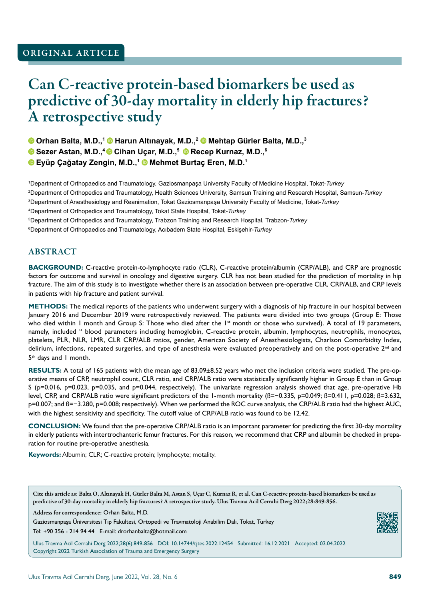## ORIGINAL ARTICLE

# Can C-reactive protein-based biomarkers be used as predictive of 30-day mortality in elderly hip fractures? A retrospective study

**O Orhan Balta, M.D.,<sup>1</sup> © Harun Altınayak, M.D.,<sup>2</sup> © Mehtap Gürler Balta, M.D.,<sup>3</sup>** 

**O** Sezer Astan, M.D.,<sup>4</sup> © Cihan Uçar, M.D.,<sup>5</sup> © Recep Kurnaz, M.D.,<sup>6</sup>

**Eyüp Çağatay Zengin, M.D.,<sup>1</sup> Mehmet Burtaç Eren, M.D.1**

 Department of Orthopaedics and Traumatology, Gaziosmanpaşa University Faculty of Medicine Hospital, Tokat-*Turkey* Department of Orthopedics and Traumatology, Health Sciences University, Samsun Training and Research Hospital, Samsun-*Turkey* Department of Anesthesiology and Reanimation, Tokat Gaziosmanpaşa University Faculty of Medicine, Tokat-*Turkey* Department of Orthopedics and Traumatology, Tokat State Hospital, Tokat-*Turkey* Department of Orthopedics and Traumatology, Trabzon Training and Research Hospital, Trabzon-*Turkey* Department of Orthopaedics and Traumatology, Acıbadem State Hospital, Eskişehir-*Turkey*

### ABSTRACT

**BACKGROUND:** C-reactive protein-to-lymphocyte ratio (CLR), C-reactive protein/albumin (CRP/ALB), and CRP are prognostic factors for outcome and survival in oncology and digestive surgery. CLR has not been studied for the prediction of mortality in hip fracture. The aim of this study is to investigate whether there is an association between pre-operative CLR, CRP/ALB, and CRP levels in patients with hip fracture and patient survival.

**METHODS:** The medical reports of the patients who underwent surgery with a diagnosis of hip fracture in our hospital between January 2016 and December 2019 were retrospectively reviewed. The patients were divided into two groups (Group E: Those who died within I month and Group S: Those who died after the 1<sup>st</sup> month or those who survived). A total of 19 parameters, namely, included " blood parameters including hemoglobin, C-reactive protein, albumin, lymphocytes, neutrophils, monocytes, platelets, PLR, NLR, LMR, CLR CRP/ALB ratios, gender, American Society of Anesthesiologists, Charlson Comorbidity Index, delirium, infections, repeated surgeries, and type of anesthesia were evaluated preoperatively and on the post-operative  $2^{nd}$  and 5<sup>th</sup> days and 1 month.

**RESULTS:** A total of 165 patients with the mean age of 83.09±8.52 years who met the inclusion criteria were studied. The pre-operative means of CRP, neutrophil count, CLR ratio, and CRP/ALB ratio were statistically significantly higher in Group E than in Group S (p=0.016, p=0.023, p=0.035, and p=0.044, respectively). The univariate regression analysis showed that age, pre-operative Hb level, CRP, and CRP/ALB ratio were significant predictors of the 1-month mortality (ß=−0.335, p=0.049; ß=0.411, p=0.028; ß=3.632, p=0.007; and ß=−3.280, p=0.008; respectively). When we performed the ROC curve analysis, the CRP/ALB ratio had the highest AUC, with the highest sensitivity and specificity. The cutoff value of CRP/ALB ratio was found to be 12.42.

**CONCLUSION:** We found that the pre-operative CRP/ALB ratio is an important parameter for predicting the first 30-day mortality in elderly patients with intertrochanteric femur fractures. For this reason, we recommend that CRP and albumin be checked in preparation for routine pre-operative anesthesia.

**Keywords:** Albumin; CLR; C-reactive protein; lymphocyte; motality.

Cite this article as: Balta O, Altınayak H, Gürler Balta M, Astan S, Uçar C, Kurnaz R, et al. Can C-reactive protein-based biomarkers be used as predictive of 30-day mortality in elderly hip fractures? A retrospective study. Ulus Travma Acil Cerrahi Derg 2022;28:849-856.

Address for correspondence: Orhan Balta, M.D.

Gaziosmanpaşa Üniversitesi Tıp Fakültesi, Ortopedi ve Travmatoloji Anabilim Dalı, Tokat, Turkey

Tel: +90 356 - 214 94 44 E-mail: drorhanbalta@hotmail.com

Ulus Travma Acil Cerrahi Derg 2022;28(6):849-856 DOI: 10.14744/tjtes.2022.12454 Submitted: 16.12.2021 Accepted: 02.04.2022 Copyright 2022 Turkish Association of Trauma and Emergency Surgery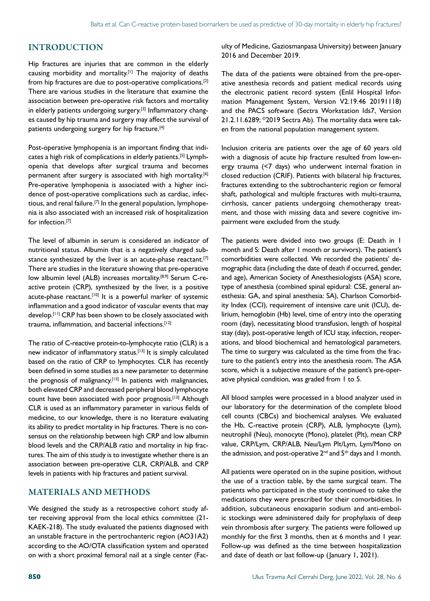#### INTRODUCTION

Hip fractures are injuries that are common in the elderly causing morbidity and mortality.<sup>[1]</sup> The majority of deaths from hip fractures are due to post-operative complications.[2] There are various studies in the literature that examine the association between pre-operative risk factors and mortality in elderly patients undergoing surgery.<sup>[3]</sup> Inflammatory changes caused by hip trauma and surgery may affect the survival of patients undergoing surgery for hip fracture.<sup>[4]</sup>

Post-operative lymphopenia is an important finding that indicates a high risk of complications in elderly patients.[5] Lymphopenia that develops after surgical trauma and becomes permanent after surgery is associated with high mortality.<sup>[6]</sup> Pre-operative lymphopenia is associated with a higher incidence of post-operative complications such as cardiac, infectious, and renal failure.<sup>[7]</sup> In the general population, lymphopenia is also associated with an increased risk of hospitalization for infection.[7]

The level of albumin in serum is considered an indicator of nutritional status. Albumin that is a negatively charged substance synthesized by the liver is an acute-phase reactant.<sup>[7]</sup> There are studies in the literature showing that pre-operative low albumin level (ALB) increases mortality.<sup>[8,9]</sup> Serum C-reactive protein (CRP), synthesized by the liver, is a positive acute-phase reactant.<sup>[10]</sup> It is a powerful marker of systemic inflammation and a good indicator of vascular events that may develop.<sup>[11]</sup> CRP has been shown to be closely associated with trauma, inflammation, and bacterial infections.[12]

The ratio of C-reactive protein-to-lymphocyte ratio (CLR) is a new indicator of inflammatory status.<sup>[13]</sup> It is simply calculated based on the ratio of CRP to lymphocytes. CLR has recently been defined in some studies as a new parameter to determine the prognosis of malignancy.<sup>[13]</sup> In patients with malignancies, both elevated CRP and decreased peripheral blood lymphocyte count have been associated with poor prognosis.<sup>[13]</sup> Although CLR is used as an inflammatory parameter in various fields of medicine, to our knowledge, there is no literature evaluating its ability to predict mortality in hip fractures. There is no consensus on the relationship between high CRP and low albumin blood levels and the CRP/ALB ratio and mortality in hip fractures. The aim of this study is to investigate whether there is an association between pre-operative CLR, CRP/ALB, and CRP levels in patients with hip fractures and patient survival.

#### MATERIALS AND METHODS

We designed the study as a retrospective cohort study after receiving approval from the local ethics committee (21- KAEK-218). The study evaluated the patients diagnosed with an unstable fracture in the pertrochanteric region (AO31A2) according to the AO/OTA classification system and operated on with a short proximal femoral nail at a single center (Faculty of Medicine, Gaziosmanpasa University) between January 2016 and December 2019.

The data of the patients were obtained from the pre-operative anesthesia records and patient medical records using the electronic patient record system (Enlil Hospital Information Management System, Version V2.19.46 20191118) and the PACS software (Sectra Workstation Ids7, Version 21.2.11.6289; ©2019 Sectra Ab). The mortality data were taken from the national population management system.

Inclusion criteria are patients over the age of 60 years old with a diagnosis of acute hip fracture resulted from low-energy trauma (<7 days) who underwent internal fixation in closed reduction (CRIF). Patients with bilateral hip fractures, fractures extending to the subtrochanteric region or femoral shaft, pathological and multiple fractures with multi-trauma, cirrhosis, cancer patients undergoing chemotherapy treatment, and those with missing data and severe cognitive impairment were excluded from the study.

The patients were divided into two groups (E: Death in 1 month and S: Death after 1 month or survivors). The patient's comorbidities were collected. We recorded the patients' demographic data (including the date of death if occurred, gender, and age), American Society of Anesthesiologists (ASA) score, type of anesthesia (combined spinal epidural: CSE, general anesthesia: GA, and spinal anesthesia: SA), Charlson Comorbidity Index (CCI), requirement of intensive care unit (ICU), delirium, hemoglobin (Hb) level, time of entry into the operating room (day), necessitating blood transfusion, length of hospital stay (day), post-operative length of ICU stay, infection, reoperations, and blood biochemical and hematological parameters. The time to surgery was calculated as the time from the fracture to the patient's entry into the anesthesia room. The ASA score, which is a subjective measure of the patient's pre-operative physical condition, was graded from 1 to 5.

All blood samples were processed in a blood analyzer used in our laboratory for the determination of the complete blood cell counts (CBCs) and biochemical analyses. We evaluated the Hb, C-reactive protein (CRP), ALB, lymphocyte (Lym), neutrophil (Neu), monocyte (Mono), platelet (Plt), mean CRP value, CRP/Lym, CRP/ALB, Neu/Lym Plt/Lym, Lym/Mono on the admission, and post-operative 2<sup>nd</sup> and 5<sup>th</sup> days and 1 month.

All patients were operated on in the supine position, without the use of a traction table, by the same surgical team. The patients who participated in the study continued to take the medications they were prescribed for their comorbidities. In addition, subcutaneous enoxaparin sodium and anti-embolic stockings were administered daily for prophylaxis of deep vein thrombosis after surgery. The patients were followed up monthly for the first 3 months, then at 6 months and 1 year. Follow-up was defined as the time between hospitalization and date of death or last follow-up (January 1, 2021).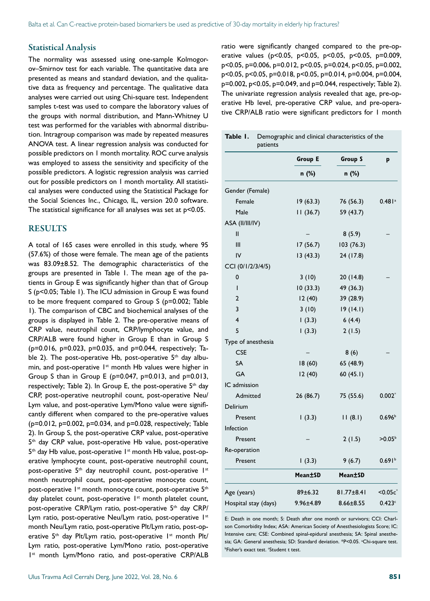#### Statistical Analysis

The normality was assessed using one-sample Kolmogorov–Smirnov test for each variable. The quantitative data are presented as means and standard deviation, and the qualitative data as frequency and percentage. The qualitative data analyses were carried out using Chi-square test. Independent samples t-test was used to compare the laboratory values of the groups with normal distribution, and Mann-Whitney U test was performed for the variables with abnormal distribution. Intragroup comparison was made by repeated measures ANOVA test. A linear regression analysis was conducted for possible predictors on 1 month mortality. ROC curve analysis was employed to assess the sensitivity and specificity of the possible predictors. A logistic regression analysis was carried out for possible predictors on 1 month mortality. All statistical analyses were conducted using the Statistical Package for the Social Sciences Inc., Chicago, IL, version 20.0 software. The statistical significance for all analyses was set at p<0.05.

#### RESULTS

A total of 165 cases were enrolled in this study, where 95 (57.6%) of those were female. The mean age of the patients was 83.09±8.52. The demographic characteristics of the groups are presented in Table 1. The mean age of the patients in Group E was significantly higher than that of Group S (p<0.05; Table 1). The ICU admission in Group E was found to be more frequent compared to Group S (p=0.002; Table 1). The comparison of CBC and biochemical analyses of the groups is displayed in Table 2. The pre-operative means of CRP value, neutrophil count, CRP/lymphocyte value, and CRP/ALB were found higher in Group E than in Group S (p=0.016, p=0.023, p=0.035, and p=0.044, respectively; Table 2). The post-operative Hb, post-operative  $5<sup>th</sup>$  day albumin, and post-operative 1<sup>st</sup> month Hb values were higher in Group S than in Group E (p=0.047, p=0.013, and p=0.013, respectively; Table 2). In Group E, the post-operative  $5<sup>th</sup>$  day CRP, post-operative neutrophil count, post-operative Neu/ Lym value, and post-operative Lym/Mono value were significantly different when compared to the pre-operative values (p=0.012, p=0.002, p=0.034, and p=0.028, respectively; Table 2). In Group S, the post-operative CRP value, post-operative 5<sup>th</sup> day CRP value, post-operative Hb value, post-operative  $5<sup>th</sup>$  day Hb value, post-operative  $1<sup>st</sup>$  month Hb value, post-operative lymphocyte count, post-operative neutrophil count, post-operative  $5<sup>th</sup>$  day neutrophil count, post-operative  $1<sup>st</sup>$ month neutrophil count, post-operative monocyte count, post-operative 1<sup>st</sup> month monocyte count, post-operative 5<sup>th</sup> day platelet count, post-operative  $1<sup>st</sup>$  month platelet count, post-operative CRP/Lym ratio, post-operative 5<sup>th</sup> day CRP/ Lym ratio, post-operative Neu/Lym ratio, post-operative 1st month Neu/Lym ratio, post-operative Plt/Lym ratio, post-operative  $5<sup>th</sup>$  day Plt/Lym ratio, post-operative  $1<sup>st</sup>$  month Plt/ Lym ratio, post-operative Lym/Mono ratio, post-operative Ist month Lym/Mono ratio, and post-operative CRP/ALB ratio were significantly changed compared to the pre-operative values (p<0.05, p<0.05, p<0.05, p<0.05, p=0.009, p<0.05, p=0.006, p=0.012, p<0.05, p=0.024, p<0.05, p=0.002, p<0.05, p<0.05, p=0.018, p<0.05, p=0.014, p=0.004, p=0.004, p=0.002, p<0.05, p=0.049, and p=0.044, respectively; Table 2). The univariate regression analysis revealed that age, pre-operative Hb level, pre-operative CRP value, and pre-operative CRP/ALB ratio were significant predictors for 1 month

|                      | Group E         | <b>Group S</b>   | p                    |  |
|----------------------|-----------------|------------------|----------------------|--|
|                      | n (%)           | n (%)            |                      |  |
| Gender (Female)      |                 |                  |                      |  |
| Female               | 19(63.3)        | 76 (56.3)        | $0.481$ <sup>a</sup> |  |
| Male                 | 11(36.7)        | 59 (43.7)        |                      |  |
| ASA (II/III/IV)      |                 |                  |                      |  |
| $\mathbf{II}$        |                 | 8(5.9)           |                      |  |
| Ш                    | 17(56.7)        | 103(76.3)        |                      |  |
| IV                   | 13(43.3)        | 24 (17.8)        |                      |  |
| CCI (0/1/2/3/4/5)    |                 |                  |                      |  |
| 0                    | 3(10)           | 20 (14.8)        |                      |  |
| T                    | 10(33.3)        | 49 (36.3)        |                      |  |
| $\overline{2}$       | 12(40)          | 39 (28.9)        |                      |  |
| 3                    | 3(10)           | 19(14.1)         |                      |  |
| 4                    | (3.3)           | 6(4.4)           |                      |  |
| 5                    | (3.3)           | 2(1.5)           |                      |  |
| Type of anesthesia   |                 |                  |                      |  |
| <b>CSE</b>           |                 | 8(6)             |                      |  |
| <b>SA</b>            | 18(60)          | 65 (48.9)        |                      |  |
| <b>GA</b>            | 12(40)          | 60(45.1)         |                      |  |
| IC admission         |                 |                  |                      |  |
| Admitted             | 26 (86.7)       | 75 (55.6)        | $0.002*$             |  |
| Delirium             |                 |                  |                      |  |
| Present              | (3.3)           | 11(8.1)          | 0.696 <sup>b</sup>   |  |
| Infection            |                 |                  |                      |  |
| Present              |                 | 2(1.5)           | >0.05 <sup>b</sup>   |  |
| Re-operation         |                 |                  |                      |  |
| Present              | 1(3.3)          | 9(6.7)           | 0.691 <sup>b</sup>   |  |
|                      | Mean±SD         | Mean±SD          |                      |  |
| Age (years)          | 89±6.32         | $81.77 \pm 8.41$ | $<$ 0.05 $c^*$       |  |
| Hospital stay (days) | $9.96 \pm 4.89$ | $8.66 \pm 8.55$  | 0.423c               |  |

E: Death in one month; S: Death after one month or survivors; CCI: Charlson Comorbidity Index; ASA: American Society of Anesthesiologists Score; IC: Intensive care; CSE: Combined spinal-epidural anesthesia; SA: Spinal anesthesia; GA: General anesthesia; SD: Standard deviation. \*P<0.05. <sup>a</sup>Chi-square test. **bFisher's exact test. 'Student t test.**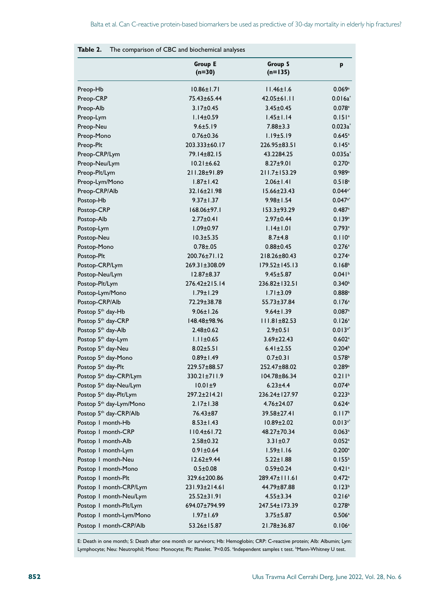|                                     | <b>Group E</b><br>$(n=30)$ | <b>Group S</b><br>$(n=135)$ | p                    |  |
|-------------------------------------|----------------------------|-----------------------------|----------------------|--|
| Preop-Hb                            | $10.86 \pm 1.71$           | $11.46 \pm 1.6$             | 0.069a               |  |
| Preop-CRP                           | 75.43±65.44                | 42.05±61.11                 | $0.016a^*$           |  |
| Preop-Alb                           | $3.17 \pm 0.45$            | $3.45 \pm 0.45$             | $0.078$ <sup>a</sup> |  |
| Preop-Lym                           | $1.14 \pm 0.59$            | $1.45 \pm 1.14$             | 0.151a               |  |
| Preop-Neu                           | $9.6 \pm 5.19$             | $7.88 \pm 3.3$              | $0.023a^*$           |  |
| Preop-Mono                          | $0.76 \pm 0.36$            | 1.19±5.19                   | $0.645^{\circ}$      |  |
| Preop-Plt                           | 203.333±60.17              | 226.95±83.51                | 0.145a               |  |
| Preop-CRP/Lym                       | 79.14±82.15                | 43.2284.25                  | $0.035a^*$           |  |
| Preop-Neu/Lym                       | $10.21 \pm 6.62$           | $8.27 \pm 9.01$             | 0.270a               |  |
| Preop-Plt/Lym                       | 211.28±91.89               | 211.7±153.29                | 0.989a               |  |
| Preop-Lym/Mono                      | $1.87 \pm 1.42$            | $2.06 \pm 1.41$             | 0.518a               |  |
| Preop-CRP/Alb                       | 32.16±21.98                | I5.66±23.43                 | $0.044^{a*}$         |  |
| Postop-Hb                           | $9.37 \pm 1.37$            | $9.98 \pm 1.54$             | $0.047a*$            |  |
| Postop-CRP                          | $168.06 \pm 97.1$          | $153.3 + 93.29$             | 0.487a               |  |
| Postop-Alb                          | $2.77 \pm 0.41$            | $2.97 + 0.44$               | 0.139a               |  |
| Postop-Lym                          | $1.09 \pm 0.97$            | $1.14 \pm 1.01$             | 0.793a               |  |
| Postop-Neu                          | $10.3 + 5.35$              | $8.7 + 4.8$                 | $0.110^a$            |  |
| Postop-Mono                         | $0.78 + 0.05$              | $0.88 \pm 0.45$             | 0.276a               |  |
| Postop-Plt                          | 200.76±71.12               | 218.26±80.43                | 0.274a               |  |
| Postop-CRP/Lym                      | 269.31±308.09              | 179.52±145.13               | 0.168 <sup>b</sup>   |  |
| Postop-Neu/Lym                      | $12.87 + 8.37$             | $9.45 \pm 5.87$             | 0.041 <sup>b</sup>   |  |
| Postop-Plt/Lym                      | 276.42±215.14              | 236.82±132.51               | 0.340 <sup>b</sup>   |  |
| Postop-Lym/Mono                     | 1.79±1.29                  | $1.71 \pm 3.09$             | $0.888$ <sup>a</sup> |  |
| Postop-CRP/Alb                      | 72.29±38.78                | 55.73±37.84                 | 0.176a               |  |
| Postop 5 <sup>th</sup> day-Hb       | $9.06 \pm 1.26$            | $9.64 \pm 1.39$             | $0.087$ <sup>a</sup> |  |
| Postop 5 <sup>th</sup> day-CRP      | 148.48±98.96               | III.81±82.53                | 0.126a               |  |
| Postop 5 <sup>th</sup> day-Alb      | $2.48 \pm 0.62$            | $2.9 \pm 0.51$              | $0.013^{a*}$         |  |
| Postop 5 <sup>th</sup> day-Lym      | $1.11 \pm 0.65$            | $3.69 \pm 22.43$            | $0.602$ <sup>a</sup> |  |
| Postop 5th day-Neu                  | $8.02 \pm 5.51$            | $6.41 \pm 2.55$             | 0.204 <sup>b</sup>   |  |
| Postop 5 <sup>th</sup> day-Mono     | $0.89 \pm 1.49$            | $0.7 \pm 0.31$              | 0.578 <sup>b</sup>   |  |
| Postop 5 <sup>th</sup> day-Plt      | 229.57±88.57               | 252.47±88.02                | 0.289a               |  |
| Postop 5 <sup>th</sup> day-CRP/Lym  | 330.21±711.9               | 104.78±86.34                | 0.211 <sup>b</sup>   |  |
| Postop 5 <sup>th</sup> day-Neu/Lym  | $10.01 \pm 9$              | $6.23 + 4.4$                | 0.074 <sup>b</sup>   |  |
| Postop 5 <sup>th</sup> day-Plt/Lym  | 297.2±214.21               | 236.24±127.97               | 0.223 <sup>b</sup>   |  |
| Postop 5 <sup>th</sup> day-Lym/Mono | $2.17 \pm 1.38$            | $4.76 \pm 24.07$            | $0.624$ <sup>a</sup> |  |
| Postop 5th day-CRP/Alb              | 76.43±87                   | 39.58±27.41                 | 0.117 <sup>b</sup>   |  |
| Postop I month-Hb                   | $8.53 \pm 1.43$            | $10.89 \pm 2.02$            | $0.013^{a*}$         |  |
| Postop I month-CRP                  | 110.4±61.72                | 48.27±70.34                 | $0.063$ <sup>a</sup> |  |
| Postop I month-Alb                  | $2.58 \pm 0.32$            | $3.31 \pm 0.7$              | $0.052$ <sup>a</sup> |  |
| Postop I month-Lym                  | $0.91 \pm 0.64$            | $1.59 \pm 1.16$             | $0.200$ <sup>a</sup> |  |
| Postop I month-Neu                  | $12.62 \pm 9.44$           | $5.22 \pm 1.88$             | 0.155 <sup>b</sup>   |  |
| Postop I month-Mono                 | $0.5 \pm 0.08$             | $0.59 \pm 0.24$             | 0.421a               |  |
| Postop I month-Plt                  | 329.6±200.86               | 289.47±111.61               | $0.472$ <sup>a</sup> |  |
| Postop I month-CRP/Lym              | 231.93±214.61              | 44.79±87.88                 | 0.123 <sup>b</sup>   |  |
| Postop I month-Neu/Lym              | 25.52±31.91                | $4.55 \pm 3.34$             | 0.216 <sup>b</sup>   |  |
| Postop I month-Plt/Lym              | 694.07±794.99              | 247.54±173.39               | 0.278 <sup>b</sup>   |  |
| Postop I month-Lym/Mono             | $1.97 \pm 1.69$            | $3.75 \pm 5.87$             | 0.506a               |  |
| Postop I month-CRP/Alb              | 53.26±15.87                | 21.78±36.87                 | $0.106^{a}$          |  |

## **Table 2.** The comparison of CBC and biochemical analyses

E: Death in one month; S: Death after one month or survivors; Hb: Hemoglobin; CRP: C-reactive protein; Alb: Albumin; Lym: Lymphocyte; Neu: Neutrophil; Mono: Monocyte; Plt: Platelet. \*P<0.05. \*Independent samples t test. \*Mann-Whitney U test.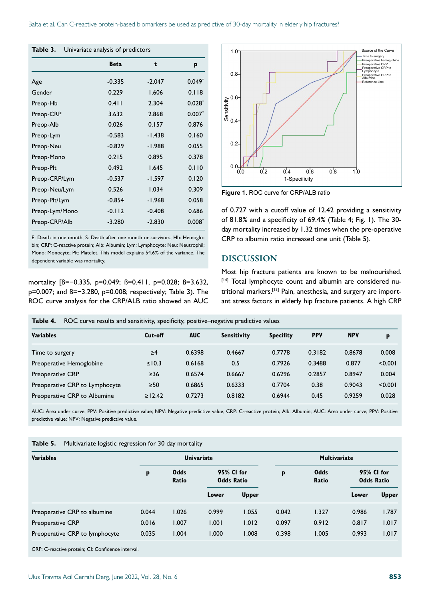| Table 3.<br>Univariate analysis of predictors |  |  |  |  |  |  |  |
|-----------------------------------------------|--|--|--|--|--|--|--|
| p                                             |  |  |  |  |  |  |  |
| $0.049*$                                      |  |  |  |  |  |  |  |
| 0.118                                         |  |  |  |  |  |  |  |
| $0.028*$                                      |  |  |  |  |  |  |  |
| $0.007*$                                      |  |  |  |  |  |  |  |
| 0.876                                         |  |  |  |  |  |  |  |
| 0.160                                         |  |  |  |  |  |  |  |
| 0.055                                         |  |  |  |  |  |  |  |
| 0.378                                         |  |  |  |  |  |  |  |
| 0.110                                         |  |  |  |  |  |  |  |
| 0.120                                         |  |  |  |  |  |  |  |
| 0.309                                         |  |  |  |  |  |  |  |
| 0.058                                         |  |  |  |  |  |  |  |
| 0.686                                         |  |  |  |  |  |  |  |
| $0.008*$                                      |  |  |  |  |  |  |  |
|                                               |  |  |  |  |  |  |  |

E: Death in one month; S: Death after one month or survivors; Hb: Hemoglobin; CRP: C-reactive protein; Alb: Albumin; Lym: Lymphocyte; Neu: Neutrophil; Mono: Monocyte; Plt: Platelet. This model explains 54.6% of the variance. The dependent variable was mortality.

mortality [ß=−0.335, p=0.049; ß=0.411, p=0.028; ß=3.632, p=0.007; and ß=−3.280, p=0.008; respectively; Table 3). The ROC curve analysis for the CRP/ALB ratio showed an AUC



**Figure 1.** ROC curve for CRP/ALB ratio

of 0.727 with a cutoff value of 12.42 providing a sensitivity of 81.8% and a specificity of 69.4% (Table 4; Fig. 1). The 30 day mortality increased by 1.32 times when the pre-operative CRP to albumin ratio increased one unit (Table 5).

#### DISCUSSION

Most hip fracture patients are known to be malnourished. [14] Total lymphocyte count and albumin are considered nutritional markers.[15] Pain, anesthesia, and surgery are important stress factors in elderly hip fracture patients. A high CRP

| Table 4.<br>ROC curve results and sensitivity, specificity, positive–negative predictive values |              |            |                    |                  |            |            |         |  |  |
|-------------------------------------------------------------------------------------------------|--------------|------------|--------------------|------------------|------------|------------|---------|--|--|
| <b>Variables</b>                                                                                | Cut-off      | <b>AUC</b> | <b>Sensitivity</b> | <b>Specifity</b> | <b>PPV</b> | <b>NPV</b> | p       |  |  |
| Time to surgery                                                                                 | $\geq 4$     | 0.6398     | 0.4667             | 0.7778           | 0.3182     | 0.8678     | 0.008   |  |  |
| Preoperative Hemoglobine                                                                        | $\leq$ 10.3  | 0.6168     | 0.5                | 0.7926           | 0.3488     | 0.877      | < 0.001 |  |  |
| <b>Preoperative CRP</b>                                                                         | $\geq$ 36    | 0.6574     | 0.6667             | 0.6296           | 0.2857     | 0.8947     | 0.004   |  |  |
| Preoperative CRP to Lymphocyte                                                                  | $\geq 50$    | 0.6865     | 0.6333             | 0.7704           | 0.38       | 0.9043     | < 0.001 |  |  |
| Preoperative CRP to Albumine                                                                    | $\ge$   2.42 | 0.7273     | 0.8182             | 0.6944           | 0.45       | 0.9259     | 0.028   |  |  |

AUC: Area under curve; PPV: Positive predictive value; NPV: Negative predictive value; CRP: C-reactive protein; Alb: Albumin; AUC: Area under curve; PPV: Positive predictive value; NPV: Negative predictive value.

| Table 5. |  | Multivariate logistic regression for 30 day mortality |  |  |
|----------|--|-------------------------------------------------------|--|--|
|----------|--|-------------------------------------------------------|--|--|

| <b>Variables</b>               |       | <b>Univariate</b>    |                                 |              |       | <b>Multivariate</b> |                                 |              |  |
|--------------------------------|-------|----------------------|---------------------------------|--------------|-------|---------------------|---------------------------------|--------------|--|
|                                | p     | <b>Odds</b><br>Ratio | 95% CI for<br><b>Odds Ratio</b> |              | p     | Odds<br>Ratio       | 95% CI for<br><b>Odds Ratio</b> |              |  |
|                                |       |                      | Lower                           | <b>Upper</b> |       |                     | Lower                           | <b>Upper</b> |  |
| Preoperative CRP to albumine   | 0.044 | 1.026                | 0.999                           | 1.055        | 0.042 | 1.327               | 0.986                           | 1.787        |  |
| <b>Preoperative CRP</b>        | 0.016 | 1.007                | 1.001                           | 1.012        | 0.097 | 0.912               | 0.817                           | 1.017        |  |
| Preoperative CRP to lymphocyte | 0.035 | 1.004                | 1.000                           | 1.008        | 0.398 | 1.005               | 0.993                           | 1.017        |  |

CRP: C-reactive protein; CI: Confidence interval.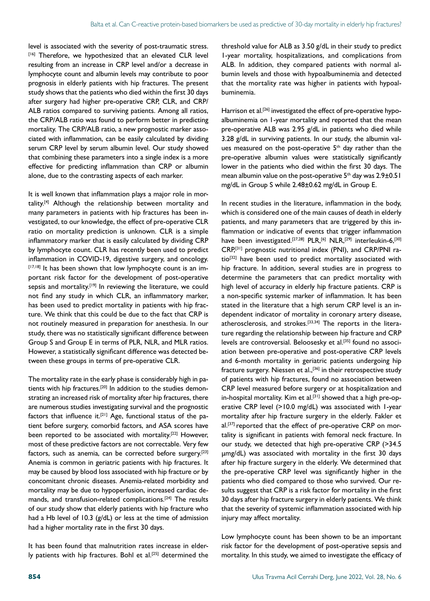level is associated with the severity of post-traumatic stress. [16] Therefore, we hypothesized that an elevated CLR level resulting from an increase in CRP level and/or a decrease in lymphocyte count and albumin levels may contribute to poor prognosis in elderly patients with hip fractures. The present study shows that the patients who died within the first 30 days after surgery had higher pre-operative CRP, CLR, and CRP/ ALB ratios compared to surviving patients. Among all ratios, the CRP/ALB ratio was found to perform better in predicting mortality. The CRP/ALB ratio, a new prognostic marker associated with inflammation, can be easily calculated by dividing serum CRP level by serum albumin level. Our study showed that combining these parameters into a single index is a more effective for predicting inflammation than CRP or albumin alone, due to the contrasting aspects of each marker.

It is well known that inflammation plays a major role in mortality.[4] Although the relationship between mortality and many parameters in patients with hip fractures has been investigated, to our knowledge, the effect of pre-operative CLR ratio on mortality prediction is unknown. CLR is a simple inflammatory marker that is easily calculated by dividing CRP by lymphocyte count. CLR has recently been used to predict inflammation in COVID-19, digestive surgery, and oncology. [17,18] It has been shown that low lymphocyte count is an important risk factor for the development of post-operative sepsis and mortality.<sup>[19]</sup> In reviewing the literature, we could not find any study in which CLR, an inflammatory marker, has been used to predict mortality in patients with hip fracture. We think that this could be due to the fact that CRP is not routinely measured in preparation for anesthesia. In our study, there was no statistically significant difference between Group S and Group E in terms of PLR, NLR, and MLR ratios. However, a statistically significant difference was detected between these groups in terms of pre-operative CLR.

The mortality rate in the early phase is considerably high in patients with hip fractures.<sup>[20]</sup> In addition to the studies demonstrating an increased risk of mortality after hip fractures, there are numerous studies investigating survival and the prognostic factors that influence it.<sup>[21]</sup> Age, functional status of the patient before surgery, comorbid factors, and ASA scores have been reported to be associated with mortality.<sup>[22]</sup> However, most of these predictive factors are not correctable. Very few factors, such as anemia, can be corrected before surgery.<sup>[23]</sup> Anemia is common in geriatric patients with hip fractures. It may be caused by blood loss associated with hip fracture or by concomitant chronic diseases. Anemia-related morbidity and mortality may be due to hypoperfusion, increased cardiac demands, and transfusion-related complications.[24] The results of our study show that elderly patients with hip fracture who had a Hb level of 10.3 (g/dL) or less at the time of admission had a higher mortality rate in the first 30 days.

It has been found that malnutrition rates increase in elderly patients with hip fractures. Bohl et al.<sup>[25]</sup> determined the threshold value for ALB as 3.50 g/dL in their study to predict 1-year mortality, hospitalizations, and complications from ALB. In addition, they compared patients with normal albumin levels and those with hypoalbuminemia and detected that the mortality rate was higher in patients with hypoalbuminemia.

Harrison et al.<sup>[26]</sup> investigated the effect of pre-operative hypoalbuminemia on 1-year mortality and reported that the mean pre-operative ALB was 2.95 g/dL in patients who died while 3.28 g/dL in surviving patients. In our study, the albumin values measured on the post-operative 5<sup>th</sup> day rather than the pre-operative albumin values were statistically significantly lower in the patients who died within the first 30 days. The mean albumin value on the post-operative  $5<sup>th</sup>$  day was  $2.9\pm0.51$ mg/dL in Group S while 2.48±0.62 mg/dL in Group E.

In recent studies in the literature, inflammation in the body, which is considered one of the main causes of death in elderly patients, and many parameters that are triggered by this inflammation or indicative of events that trigger inflammation have been investigated.<sup>[27,28]</sup> PLR,<sup>[6]</sup> NLR,<sup>[29]</sup> interleukin-6,<sup>[30]</sup> CRP,[31] prognostic nutritional index (PNI), and CRP/PNI ratio<sup>[32]</sup> have been used to predict mortality associated with hip fracture. In addition, several studies are in progress to determine the parameters that can predict mortality with high level of accuracy in elderly hip fracture patients. CRP is a non-specific systemic marker of inflammation. It has been stated in the literature that a high serum CRP level is an independent indicator of mortality in coronary artery disease, atherosclerosis, and strokes.[33,34] The reports in the literature regarding the relationship between hip fracture and CRP levels are controversial. Beloosesky et al.<sup>[35]</sup> found no association between pre-operative and post-operative CRP levels and 6-month mortality in geriatric patients undergoing hip fracture surgery. Niessen et al.,[36] in their retrospective study of patients with hip fractures, found no association between CRP level measured before surgery or at hospitalization and in-hospital mortality. Kim et al.<sup>[31]</sup> showed that a high pre-operative CRP level (>10.0 mg/dL) was associated with 1-year mortality after hip fracture surgery in the elderly. Fakler et al.<sup>[37]</sup> reported that the effect of pre-operative CRP on mortality is significant in patients with femoral neck fracture. In our study, we detected that high pre-operative CRP (>34.5 µmg/dL) was associated with mortality in the first 30 days after hip fracture surgery in the elderly. We determined that the pre-operative CRP level was significantly higher in the patients who died compared to those who survived. Our results suggest that CRP is a risk factor for mortality in the first 30 days after hip fracture surgery in elderly patients. We think that the severity of systemic inflammation associated with hip injury may affect mortality.

Low lymphocyte count has been shown to be an important risk factor for the development of post-operative sepsis and mortality. In this study, we aimed to investigate the efficacy of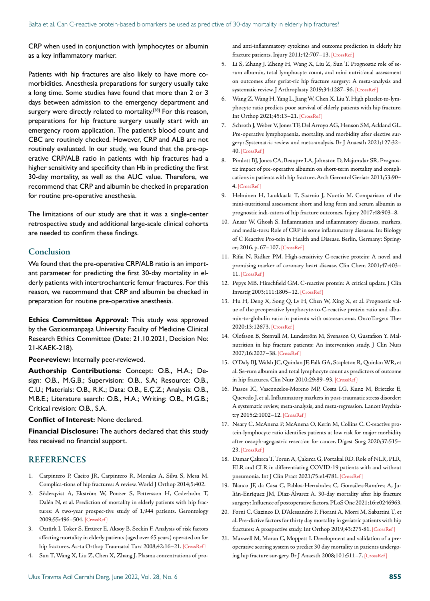CRP when used in conjunction with lymphocytes or albumin as a key inflammatory marker.

Patients with hip fractures are also likely to have more comorbidities. Anesthesia preparations for surgery usually take a long time. Some studies have found that more than 2 or 3 days between admission to the emergency department and surgery were directly related to mortality.<sup>[38]</sup> For this reason, preparations for hip fracture surgery usually start with an emergency room application. The patient's blood count and CBC are routinely checked. However, CRP and ALB are not routinely evaluated. In our study, we found that the pre-operative CRP/ALB ratio in patients with hip fractures had a higher sensitivity and specificity than Hb in predicting the first 30-day mortality, as well as the AUC value. Therefore, we recommend that CRP and albumin be checked in preparation for routine pre-operative anesthesia.

The limitations of our study are that it was a single-center retrospective study and additional large-scale clinical cohorts are needed to confirm these findings.

#### Conclusion

We found that the pre-operative CRP/ALB ratio is an important parameter for predicting the first 30-day mortality in elderly patients with intertrochanteric femur fractures. For this reason, we recommend that CRP and albumin be checked in preparation for routine pre-operative anesthesia.

**Ethics Committee Approval:** This study was approved by the Gaziosmanpaşa University Faculty of Medicine Clinical Research Ethics Committee (Date: 21.10.2021, Decision No: 21-KAEK-218).

**Peer-review:** Internally peer-reviewed.

**Authorship Contributions:** Concept: O.B., H.A.; Design: O.B., M.G.B.; Supervision: O.B., S.A; Resource: O.B., C.U.; Materials: O.B., R.K.; Data: O.B., E.Ç.Z.; Analysis: O.B., M.B.E.; Literature search: O.B., H.A.; Writing: O.B., M.G.B.; Critical revision: O.B., S.A.

#### **Conflict of Interest:** None declared.

**Financial Disclosure:** The authors declared that this study has received no financial support.

#### **REFERENCES**

- 1. Carpintero P, Caeiro JR, Carpintero R, Morales A, Silva S, Mesa M. Complica-tions of hip fractures: A review. World [J Orthop 2014;5:402.](https://doi.org/10.5312/wjo.v5.i4.402)
- 2. Söderqvist A, Ekström W, Ponzer S, Pettersson H, Cederholm T, Dalén N, et al. Prediction of mortality in elderly patients with hip fractures: A two-year prospec-tive study of 1,944 patients. Gerontology 2009;55:496–50[4. \[CrossRef \]](https://doi.org/10.1159/000230587)
- 3. Oztürk I, Toker S, Ertürer E, Aksoy B, Seckin F. Analysis of risk factors affecting mortality in elderly patients (aged over 65 years) operated on for hip fractures. Ac-ta Orthop Traumatol Turc 2008;42:16-21. [CrossRef]
- 4. Sun T, Wang X, Liu Z, Chen X, Zhang J. Plasma concentrations of pro-

and anti-inflammatory cytokines and outcome prediction in elderly hip fracture patients. Injury 2011;42:707-13. [CrossRef]

- 5. Li S, Zhang J, Zheng H, Wang X, Liu Z, Sun T. Prognostic role of serum albumin, total lymphocyte count, and mini nutritional assessment on outcomes after geriat-ric hip fracture surgery: A meta-analysis and systematic review. J Arthroplasty 2019;34:1287–9[6. \[CrossRef \]](https://doi.org/10.1016/j.arth.2019.02.003)
- 6. Wang Z, Wang H, Yang L, Jiang W, Chen X, Liu Y. High platelet-to-lymphocyte ratio predicts poor survival of elderly patients with hip fracture. Int Orthop 2021;45:13–2[1. \[CrossRef \]](https://doi.org/10.1007/s00264-020-04833-1)
- 7. Schroth J, Weber V, Jones TF, Del Arroyo AG, Henson SM, Ackland GL. Pre-operative lymphopaenia, mortality, and morbidity after elective surgery: Systemat-ic review and meta-analysis. Br J Anaesth 2021;127:32– 4[0. \[CrossRef \]](https://doi.org/10.1016/j.bja.2021.02.023)
- 8. Pimlott BJ, Jones CA, Beaupre LA, Johnston D, Majumdar SR. Prognostic impact of pre-operative albumin on short-term mortality and complications in patients with hip fracture. Arch Gerontol Geriatr 2011;53:90– 4[. \[CrossRef \]](https://doi.org/10.1016/j.archger.2010.06.018)
- 9. Helminen H, Luukkaala T, Saarnio J, Nuotio M. Comparison of the mini-nutritional assessment short and long form and serum albumin as prognostic indi-cators of hip fracture outcomes. Inj[ury 2017;48:903–8.](https://doi.org/10.1016/j.injury.2017.02.007)
- 10. Ansar W, Ghosh S. Inflammation and inflammatory diseases, markers, and media-tors: Role of CRP in some inflammatory diseases. In: Biology of C Reactive Pro-tein in Health and Disease. Berlin, Germany: Springer; 2016. p. 67–10[7. \[CrossRef \]](https://doi.org/10.1007/978-81-322-2680-2_4)
- 11. Rifai N, Ridker PM. High-sensitivity C-reactive protein: A novel and promising marker of coronary heart disease. Clin Chem 2001;47:403– 1[1. \[CrossRef \]](https://doi.org/10.1093/clinchem/47.3.403)
- 12. Pepys MB, Hirschfield GM. C-reactive protein: A critical update. J Clin Investig 2003;111:1805–1[2. \[CrossRef \]](https://doi.org/10.1172/JCI200318921)
- 13. Hu H, Deng X, Song Q, Lv H, Chen W, Xing X, et al. Prognostic value of the preoperative lymphocyte-to-C-reactive protein ratio and albumin-to-globulin ratio in patients with osteosarcoma. OncoTargets Ther 2020;13:1267[3. \[CrossRef \]](https://doi.org/10.2147/OTT.S287192)
- 14. Olofsson B, Stenvall M, Lundström M, Svensson O, Gustafson Y. Malnutrition in hip fracture patients: An intervention study. J Clin Nurs 2007;16:2027–38[. \[CrossRef \]](https://doi.org/10.1111/j.1365-2702.2006.01864.x)
- 15. O'Daly BJ, Walsh JC, Quinlan JF, Falk GA, Stapleton R, Quinlan WR, et al. Se-rum albumin and total lymphocyte count as predictors of outcome in hip fractures. Clin Nutr 2010;29:89–9[3. \[CrossRef \]](https://doi.org/10.1016/j.clnu.2009.07.007)
- 16. Passos IC, Vasconcelos-Moreno MP, Costa LG, Kunz M, Brietzke E, Quevedo J, et al. Inflammatory markers in post-traumatic stress disorder: A systematic review, meta-analysis, and meta-regression. Lancet Psychiatry 2015;2:1002–12[. \[CrossRef \]](https://doi.org/10.1016/S2215-0366(15)00309-0)
- 17. Neary C, McAnena P, McAnena O, Kerin M, Collins C. C-reactive protein-lymphocyte ratio identifies patients at low risk for major morbidity after oesoph-agogastric resection for cancer. Digest Surg 2020;37:515– 23. [CrossRef]
- 18. Damar Çakırca T, Torun A, Çakırca G, Portakal RD. Role of NLR, PLR, ELR and CLR in differentiating COVID-19 patients with and without pneumonia. Int J Clin Pract 2021;75:e14781. [CrossRef]
- 19. Blanco JF, da Casa C, Pablos-Hernández C, González-Ramírez A, Julián-Enríquez JM, Díaz-Álvarez A. 30-day mortality after hip fracture surgery: Influence of postoperative factors. PLoS O[ne 2021;16:e0246963.](https://doi.org/10.1371/journal.pone.0246963)
- 20. Forni C, Gazineo D, D'Alessandro F, Fiorani A, Morri M, Sabattini T, et al. Pre-dictive factors for thirty day mortality in geriatric patients with hip fractures: A prospective study. Int Orthop 2019;43:275-8[1. \[CrossRef \]](https://doi.org/10.1007/s00264-018-4057-x)
- 21. Maxwell M, Moran C, Moppett I. Development and validation of a preoperative scoring system to predict 30 day mortality in patients undergoing hip fracture sur-gery. Br J Anaesth 2008;101:511–7. [\[CrossRef \]](https://doi.org/10.1093/bja/aen236)